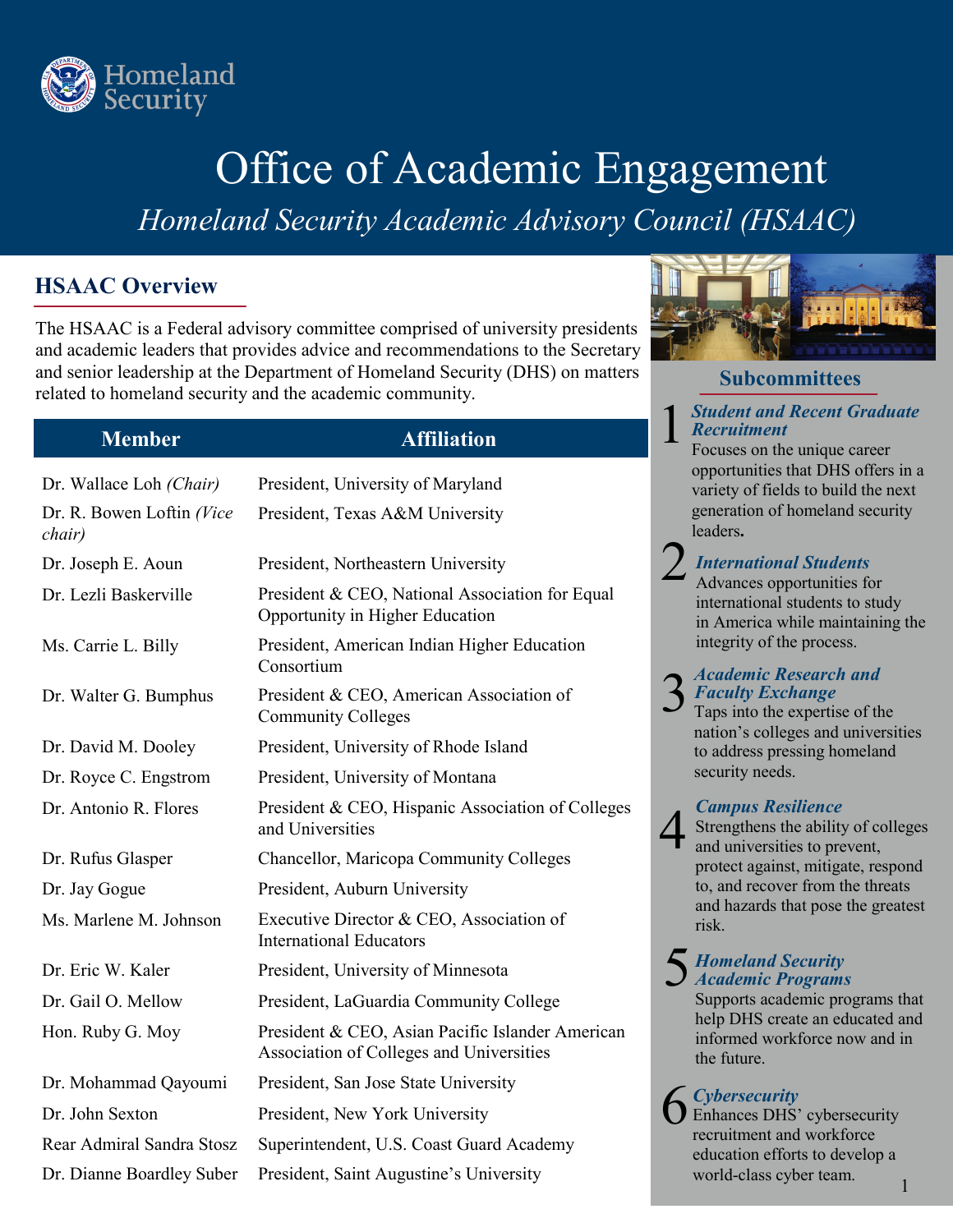

# Office of Academic Engagement

*Homeland Security Academic Advisory Council (HSAAC)* 

## **HSAAC Overview**

The HSAAC is a Federal advisory committee comprised of university presidents and academic leaders that provides advice and recommendations to the Secretary and senior leadership at the Department of Homeland Security (DHS) on matters related to homeland security and the academic community.

## **Member Affiliation**

| Dr. Wallace Loh (Chair)             | President, University of Maryland                                                            |
|-------------------------------------|----------------------------------------------------------------------------------------------|
| Dr. R. Bowen Loftin (Vice<br>chair) | President, Texas A&M University                                                              |
| Dr. Joseph E. Aoun                  | President, Northeastern University                                                           |
| Dr. Lezli Baskerville               | President & CEO, National Association for Equal<br>Opportunity in Higher Education           |
| Ms. Carrie L. Billy                 | President, American Indian Higher Education<br>Consortium                                    |
| Dr. Walter G. Bumphus               | President & CEO, American Association of<br><b>Community Colleges</b>                        |
| Dr. David M. Dooley                 | President, University of Rhode Island                                                        |
| Dr. Royce C. Engstrom               | President, University of Montana                                                             |
| Dr. Antonio R. Flores               | President & CEO, Hispanic Association of Colleges<br>and Universities                        |
| Dr. Rufus Glasper                   | <b>Chancellor, Maricopa Community Colleges</b>                                               |
| Dr. Jay Gogue                       | President, Auburn University                                                                 |
| Ms. Marlene M. Johnson              | Executive Director & CEO, Association of<br><b>International Educators</b>                   |
| Dr. Eric W. Kaler                   | President, University of Minnesota                                                           |
| Dr. Gail O. Mellow                  | President, LaGuardia Community College                                                       |
| Hon. Ruby G. Moy                    | President & CEO, Asian Pacific Islander American<br>Association of Colleges and Universities |
| Dr. Mohammad Qayoumi                | President, San Jose State University                                                         |
| Dr. John Sexton                     | President, New York University                                                               |
| Rear Admiral Sandra Stosz           | Superintendent, U.S. Coast Guard Academy                                                     |
| Dr. Dianne Boardley Suber           | President, Saint Augustine's University                                                      |



## **Subcommittees**

### 1 *Student and Recent Graduate Recruitment*

Focuses on the unique career opportunities that DHS offers in a variety of fields to build the next generation of homeland security leaders**.** 

# 2 *International Students*<br>Advances opportunities for

international students to study in America while maintaining the integrity of the process.

# 3 *Academic Research and*  Taps into the expertise of the *Faculty Exchange*

nation's colleges and universities to address pressing homeland security needs.

4 *Campus Resilience*  Strengthens the ability of colleges and universities to prevent, protect against, mitigate, respond to, and recover from the threats and hazards that pose the greatest risk.

# 5 *Homeland Security Academic Programs*

Supports academic programs that help DHS create an educated and informed workforce now and in the future.

6 *Cybersecurity*  Enhances DHS' cybersecurity recruitment and workforce education efforts to develop a world-class cyber team.